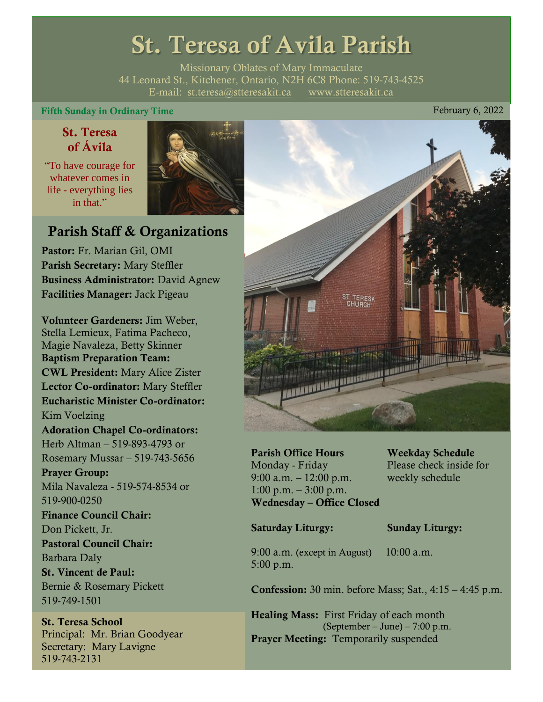# St. Teresa of Avila Parish

Missionary Oblates of Mary Immaculate 44 Leonard St., Kitchener, Ontario, N2H 6C8 Phone: 519-743-4525 E-mail: [st.teresa@stteresakit.ca](mailto:st.teresa@stteresakit.ca) [www.stteresakit.ca](http://www.stteresakit.ca/)

#### Fifth Sunday in Ordinary Time **February 6, 2022**

#### St. Teresa of Ávila

"To have courage for whatever comes in life - everything lies in that"



### Parish Staff & Organizations

Pastor: Fr. Marian Gil, OMI Parish Secretary: Mary Steffler Business Administrator: David Agnew Facilities Manager: Jack Pigeau

Volunteer Gardeners: Jim Weber, Stella Lemieux, Fatima Pacheco, Magie Navaleza, Betty Skinner Baptism Preparation Team: CWL President: Mary Alice Zister Lector Co-ordinator: Mary Steffler Eucharistic Minister Co-ordinator: Kim Voelzing Adoration Chapel Co-ordinators: Herb Altman – 519-893-4793 or Rosemary Mussar – 519-743-5656 Prayer Group: Mila Navaleza - 519-574-8534 or 519-900-0250 Finance Council Chair: Don Pickett, Jr. Pastoral Council Chair: Barbara Daly St. Vincent de Paul: Bernie & Rosemary Pickett 519-749-1501

St. Teresa School Principal: Mr. Brian Goodyear Secretary: Mary Lavigne 519-743-2131



Parish Office Hours Weekday Schedule Monday - Friday Please check inside for 9:00 a.m. – 12:00 p.m. weekly schedule  $1:00 \text{ p.m.} - 3:00 \text{ p.m.}$ Wednesday – Office Closed

#### Saturday Liturgy: Sunday Liturgy:

9:00 a.m. (except in August) 10:00 a.m. 5:00 p.m.

Confession: 30 min. before Mass; Sat., 4:15 – 4:45 p.m.

Healing Mass: First Friday of each month (September – June) – 7:00 p.m. Prayer Meeting: Temporarily suspended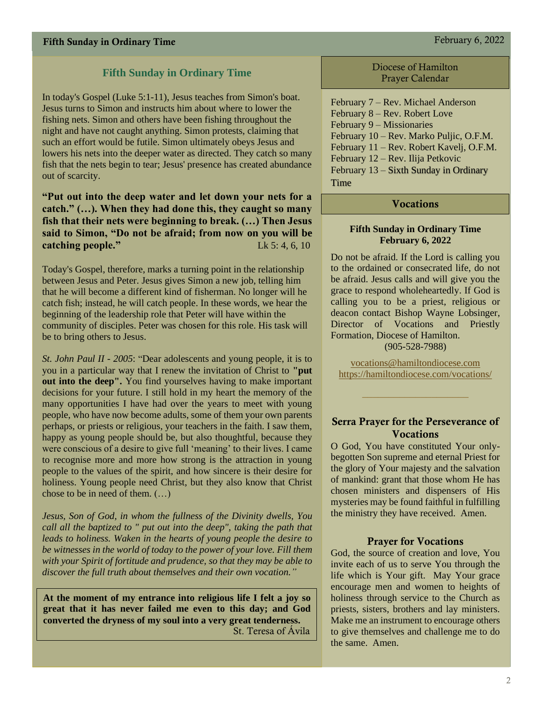#### **Fifth Sunday in Ordinary Time**

In today's Gospel (Luke 5:1-11), Jesus teaches from Simon's boat. Jesus turns to Simon and instructs him about where to lower the fishing nets. Simon and others have been fishing throughout the night and have not caught anything. Simon protests, claiming that such an effort would be futile. Simon ultimately obeys Jesus and lowers his nets into the deeper water as directed. They catch so many fish that the nets begin to tear; Jesus' presence has created abundance out of scarcity.

**"Put out into the deep water and let down your nets for a catch." (…). When they had done this, they caught so many fish that their nets were beginning to break. (…) Then Jesus said to Simon, "Do not be afraid; from now on you will be catching people."** Lk 5: 4, 6, 10

Today's Gospel, therefore, marks a turning point in the relationship between Jesus and Peter. Jesus gives Simon a new job, telling him that he will become a different kind of fisherman. No longer will he catch fish; instead, he will catch people. In these words, we hear the beginning of the leadership role that Peter will have within the community of disciples. Peter was chosen for this role. His task will be to bring others to Jesus.

*St. John Paul II - 2005*: "Dear adolescents and young people, it is to you in a particular way that I renew the invitation of Christ to **"put out into the deep".** You find yourselves having to make important decisions for your future. I still hold in my heart the memory of the many opportunities I have had over the years to meet with young people, who have now become adults, some of them your own parents perhaps, or priests or religious, your teachers in the faith. I saw them, happy as young people should be, but also thoughtful, because they were conscious of a desire to give full 'meaning' to their lives. I came to recognise more and more how strong is the attraction in young people to the values of the spirit, and how sincere is their desire for holiness. Young people need Christ, but they also know that Christ chose to be in need of them. (…)

*Jesus, Son of God, in whom the fullness of the Divinity dwells, You call all the baptized to " put out into the deep", taking the path that leads to holiness. Waken in the hearts of young people the desire to be witnesses in the world of today to the power of your love. Fill them with your Spirit of fortitude and prudence, so that they may be able to discover the full truth about themselves and their own vocation."*

**At the moment of my entrance into religious life I felt a joy so great that it has never failed me even to this day; and God converted the dryness of my soul into a very great tenderness.**  St. Teresa of Ávila

Diocese of Hamilton Prayer Calendar

February 7 – Rev. Michael Anderson February 8 – Rev. Robert Love February 9 – Missionaries February 10 – Rev. Marko Puljic, O.F.M. February 11 – Rev. Robert Kavelj, O.F.M. February 12 – Rev. Ilija Petkovic February 13 – Sixth Sunday in Ordinary Time

#### Vocations

#### **Fifth Sunday in Ordinary Time February 6, 2022**

Do not be afraid. If the Lord is calling you to the ordained or consecrated life, do not be afraid. Jesus calls and will give you the grace to respond wholeheartedly. If God is calling you to be a priest, religious or deacon contact Bishop Wayne Lobsinger, Director of Vocations and Priestly Formation, Diocese of Hamilton. (905-528-7988)

[vocations@hamiltondiocese.com](mailto:vocations@hamiltondiocese.com)  <https://hamiltondiocese.com/vocations/>

#### Serra Prayer for the Perseverance of Vocations

O God, You have constituted Your onlybegotten Son supreme and eternal Priest for the glory of Your majesty and the salvation of mankind: grant that those whom He has chosen ministers and dispensers of His mysteries may be found faithful in fulfilling the ministry they have received. Amen.

#### Prayer for Vocations

God, the source of creation and love, You invite each of us to serve You through the life which is Your gift. May Your grace encourage men and women to heights of holiness through service to the Church as priests, sisters, brothers and lay ministers. Make me an instrument to encourage others to give themselves and challenge me to do the same. Amen.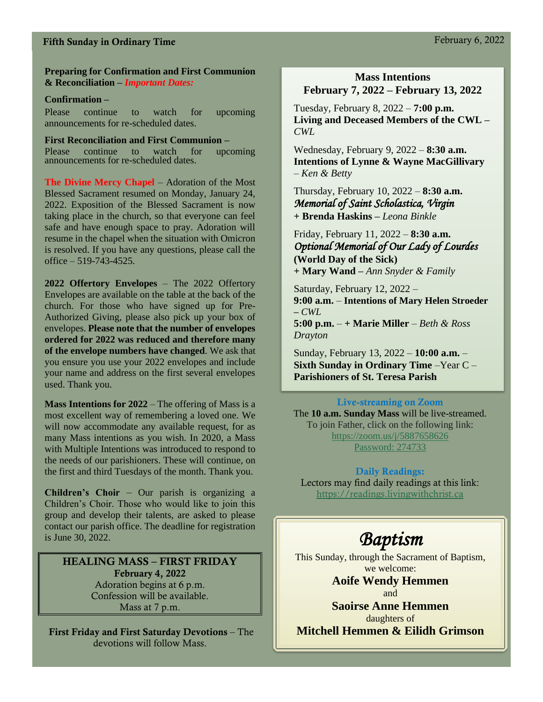#### Fifth Sunday in Ordinary Time February 6, 2022

#### **Preparing for Confirmation and First Communion & Reconciliation –** *Important Dates:*

#### **Confirmation –**

Please continue to watch for upcoming announcements for re-scheduled dates.

**First Reconciliation and First Communion –**  Please continue to watch for upcoming announcements for re-scheduled dates.

**The Divine Mercy Chapel** – Adoration of the Most Blessed Sacrament resumed on Monday, January 24, 2022. Exposition of the Blessed Sacrament is now taking place in the church, so that everyone can feel safe and have enough space to pray. Adoration will resume in the chapel when the situation with Omicron is resolved. If you have any questions, please call the office – 519-743-4525.

**2022 Offertory Envelopes** – The 2022 Offertory Envelopes are available on the table at the back of the church. For those who have signed up for Pre-Authorized Giving, please also pick up your box of envelopes. **Please note that the number of envelopes ordered for 2022 was reduced and therefore many of the envelope numbers have changed**. We ask that you ensure you use your 2022 envelopes and include your name and address on the first several envelopes used. Thank you.

**Mass Intentions for 2022** – The offering of Mass is a most excellent way of remembering a loved one. We will now accommodate any available request, for as many Mass intentions as you wish. In 2020, a Mass with Multiple Intentions was introduced to respond to the needs of our parishioners. These will continue, on the first and third Tuesdays of the month. Thank you.

**Children's Choir** – Our parish is organizing a Children's Choir. Those who would like to join this group and develop their talents, are asked to please contact our parish office. The deadline for registration is June 30, 2022.

HEALING MASS – FIRST FRIDAY February 4, 2022 Adoration begins at 6 p.m. Confession will be available. Mass at 7 p.m.

First Friday and First Saturday Devotions – The devotions will follow Mass.

#### **Mass Intentions February 7, 2022 – February 13, 2022**

Tuesday, February 8, 2022 – **7:00 p.m. Living and Deceased Members of the CWL –** *CWL*

Wednesday, February 9, 2022 – **8:30 a.m. Intentions of Lynne & Wayne MacGillivary** *– Ken & Betty* 

Thursday, February 10, 2022 – **8:30 a.m.** *Memorial of Saint Scholastica, Virgin*  **+ Brenda Haskins –** *Leona Binkle*

Friday, February 11, 2022 – **8:30 a.m.** *Optional Memorial of Our Lady of Lourdes*  **(World Day of the Sick) + Mary Wand –** *Ann Snyder & Family*

Saturday, February 12, 2022 – **9:00 a.m.** – **Intentions of Mary Helen Stroeder –** *CWL* **5:00 p.m.** – **+ Marie Miller** – *Beth & Ross Drayton*

Sunday, February 13, 2022 – **10:00 a.m.** – **Sixth Sunday in Ordinary Time** –Year C – **Parishioners of St. Teresa Parish** 

#### Live-streaming on Zoom

The **10 a.m. Sunday Mass** will be live-streamed. To join Father, click on the following link: <https://zoom.us/j/5887658626> Password: 274733

#### Daily Readings:

Lectors may find daily readings at this link: [https://readings.livingwithchrist.ca](https://readings.livingwithchrist.ca/)

## *Baptism*

This Sunday, through the Sacrament of Baptism, we welcome:

> **Aoife Wendy Hemmen** and

**Saoirse Anne Hemmen**  daughters of **Mitchell Hemmen & Eilidh Grimson**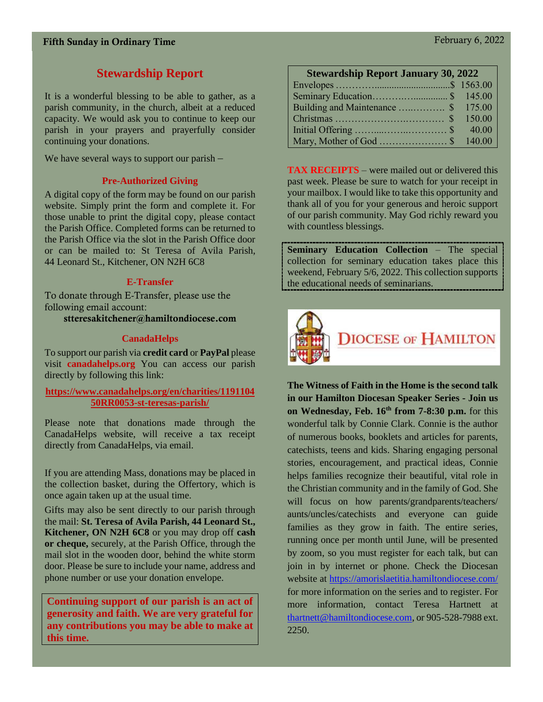### **Stewardship Report**

It is a wonderful blessing to be able to gather, as a parish community, in the church, albeit at a reduced capacity. We would ask you to continue to keep our parish in your prayers and prayerfully consider continuing your donations.

We have several ways to support our parish –

#### **Pre-Authorized Giving**

A digital copy of the form may be found on our parish website. Simply print the form and complete it. For those unable to print the digital copy, please contact the Parish Office. Completed forms can be returned to the Parish Office via the slot in the Parish Office door or can be mailed to: St Teresa of Avila Parish, 44 Leonard St., Kitchener, ON N2H 6C8

#### **E-Transfer**

To donate through E-Transfer, please use the following email account:

stteresakitchener@hamiltondiocese.com

#### **CanadaHelps**

To support our parish via **credit card** or **PayPal** please visit **canadahelps.org** You can access our parish directly by following this link:

#### **[https://www.canadahelps.org/en/charities/1191104](https://www.canadahelps.org/en/charities/119110450RR0053-st-teresas-parish/) [50RR0053-st-teresas-parish/](https://www.canadahelps.org/en/charities/119110450RR0053-st-teresas-parish/)**

Please note that donations made through the CanadaHelps website, will receive a tax receipt directly from CanadaHelps, via email.

If you are attending Mass, donations may be placed in the collection basket, during the Offertory, which is once again taken up at the usual time.

Gifts may also be sent directly to our parish through the mail: **St. Teresa of Avila Parish, 44 Leonard St., Kitchener, ON N2H 6C8** or you may drop off **cash or cheque,** securely, at the Parish Office, through the mail slot in the wooden door, behind the white storm door. Please be sure to include your name, address and phone number or use your donation envelope.

**Continuing support of our parish is an act of generosity and faith. We are very grateful for any contributions you may be able to make at this time.**

|  | <b>Stewardship Report January 30, 2022</b> |       |  |
|--|--------------------------------------------|-------|--|
|  |                                            | 1.500 |  |

**TAX RECEIPTS** – were mailed out or delivered this past week. Please be sure to watch for your receipt in your mailbox. I would like to take this opportunity and thank all of you for your generous and heroic support of our parish community. May God richly reward you with countless blessings.

**Seminary Education Collection** – The special collection for seminary education takes place this weekend, February 5/6, 2022. This collection supports the educational needs of seminarians.



**The Witness of Faith in the Home is the second talk in our Hamilton Diocesan Speaker Series - Join us on Wednesday, Feb. 16th from 7-8:30 p.m.** for this wonderful talk by Connie Clark. Connie is the author of numerous books, booklets and articles for parents, catechists, teens and kids. Sharing engaging personal stories, encouragement, and practical ideas, Connie helps families recognize their beautiful, vital role in the Christian community and in the family of God. She will focus on how parents/grandparents/teachers/ aunts/uncles/catechists and everyone can guide families as they grow in faith. The entire series, running once per month until June, will be presented by zoom, so you must register for each talk, but can join in by internet or phone. Check the Diocesan website at<https://amorislaetitia.hamiltondiocese.com/> for more information on the series and to register. For more information, contact Teresa Hartnett at [thartnett@hamiltondiocese.com,](mailto:thartnett@hamiltondiocese.com) or 905-528-7988 ext. 2250.